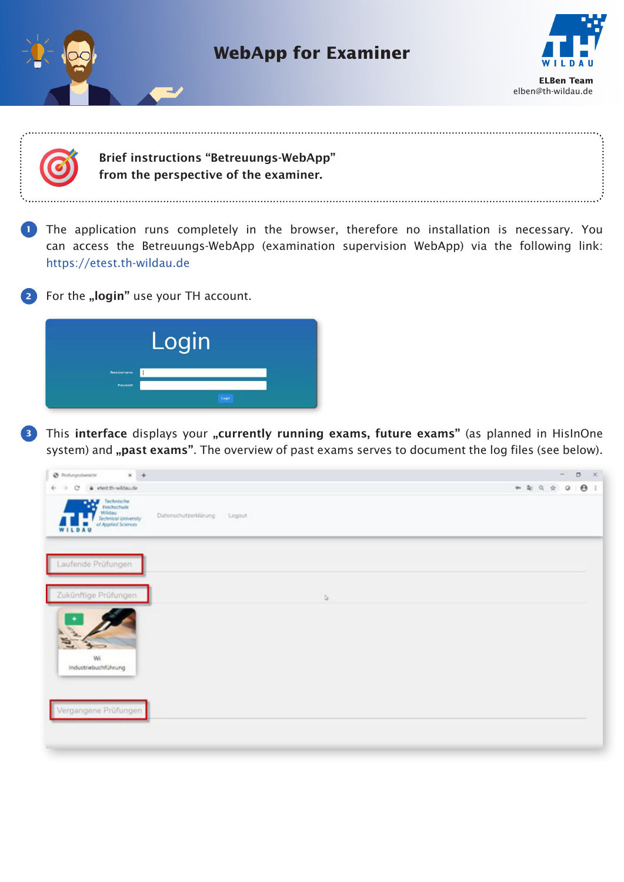



**3** This interface displays your "currently running exams, future exams" (as planned in HisInOne system) and "past exams". The overview of past exams serves to document the log files (see below).

| @ Profungationsche<br>$x +$                                                                                                                                                                                                                                                                                                                  |                                 | $\circ$<br>$\sim$<br>$\mathbf{x}$ |
|----------------------------------------------------------------------------------------------------------------------------------------------------------------------------------------------------------------------------------------------------------------------------------------------------------------------------------------------|---------------------------------|-----------------------------------|
| # etestth-wildsude<br>$+$ +<br>$\alpha$                                                                                                                                                                                                                                                                                                      |                                 |                                   |
| $\begin{tabular}{ c c } \hline \multicolumn{3}{ c }{\textbf{Techocible}}\\ \multicolumn{3}{ c }{\textbf{Nechocable}}\\ \multicolumn{3}{ c }{\textbf{Webneto}}\\ \multicolumn{3}{ c }{\textbf{Webneto}}\\ \multicolumn{3}{ c }{\textbf{cHaplicd Science}}\\ \multicolumn{3}{ c }{\textbf{cHaplicd Science}}\\ \hline \end{tabular}$<br>WILDAU | Datenschutzerklärung:<br>Logout |                                   |
| Laufende Prüfungen                                                                                                                                                                                                                                                                                                                           |                                 |                                   |
| Zukünftige Prüfungen                                                                                                                                                                                                                                                                                                                         | b.                              |                                   |
| $\frac{1}{2}$<br>Wi<br>Industriebuchführung                                                                                                                                                                                                                                                                                                  |                                 |                                   |
|                                                                                                                                                                                                                                                                                                                                              |                                 |                                   |
| Vergangene Prüfungen                                                                                                                                                                                                                                                                                                                         |                                 |                                   |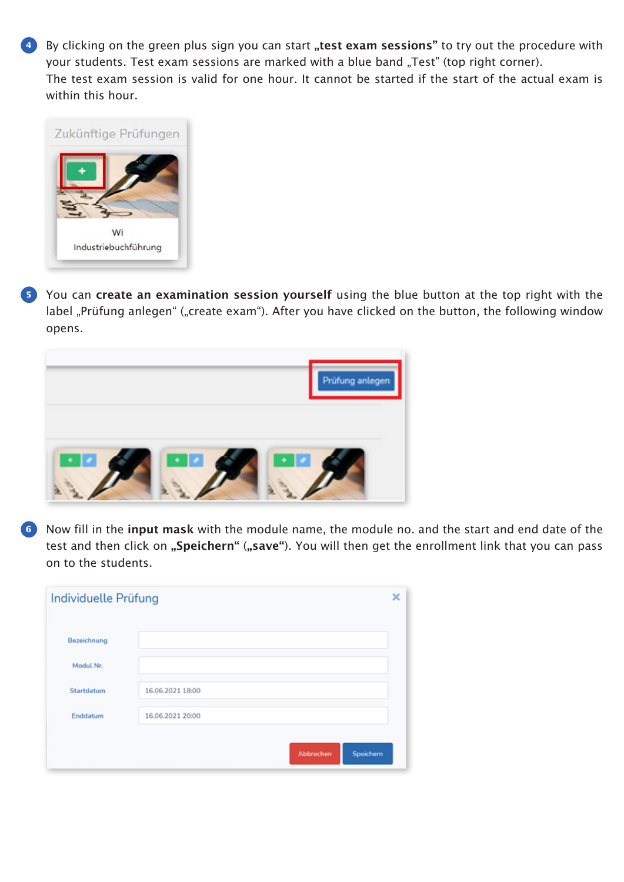4) By clicking on the green plus sign you can start "test exam sessions" to try out the procedure with your students. Test exam sessions are marked with a blue band "Test" (top right corner). The test exam session is valid for one hour. It cannot be started if the start of the actual exam is within this hour.



**5** You can create an examination session yourself using the blue button at the top right with the label "Prüfung anlegen" ("create exam"). After you have clicked on the button, the following window opens.



Now fill in the input mask with the module name, the module no. and the start and end date of the **6**test and then click on "Speichern" ("save"). You will then get the enrollment link that you can pass on to the students.

| Individuelle Prüfung |                  | ×                      |
|----------------------|------------------|------------------------|
| Bezeichnung          |                  |                        |
| Modul Nr.            |                  |                        |
| Startdatum           | 16.06.2021 18:00 |                        |
| Enddatum             | 16.06.2021 20:00 |                        |
|                      |                  | Speichern<br>Abbrechen |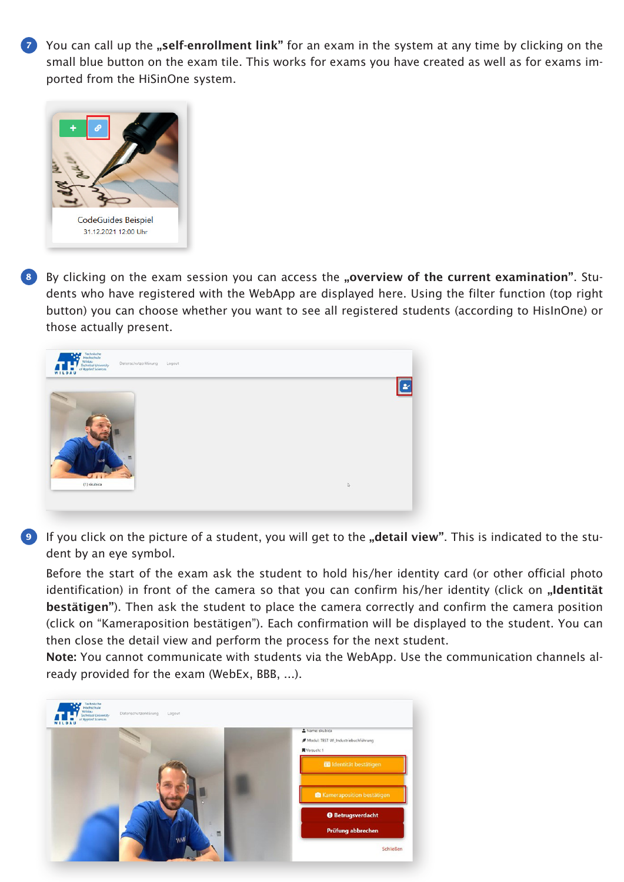**7** You can call up the "self-enrollment link" for an exam in the system at any time by clicking on the small blue button on the exam tile. This works for exams you have created as well as for exams imported from the HiSinOne system.



By clicking on the exam session you can access the "overview of the current examination". Students who have registered with the WebApp are displayed here. Using the filter function (top right button) you can choose whether you want to see all registered students (according to HisInOne) or those actually present. **8**



**9** If you click on the picture of a student, you will get to the "detail view". This is indicated to the student by an eye symbol.

Before the start of the exam ask the student to hold his/her identity card (or other official photo identification) in front of the camera so that you can confirm his/her identity (click on "Identität bestätigen"). Then ask the student to place the camera correctly and confirm the camera position (click on "Kameraposition bestätigen"). Each confirmation will be displayed to the student. You can then close the detail view and perform the process for the next student.

Note: You cannot communicate with students via the WebApp. Use the communication channels already provided for the exam (WebEx, BBB, ...).